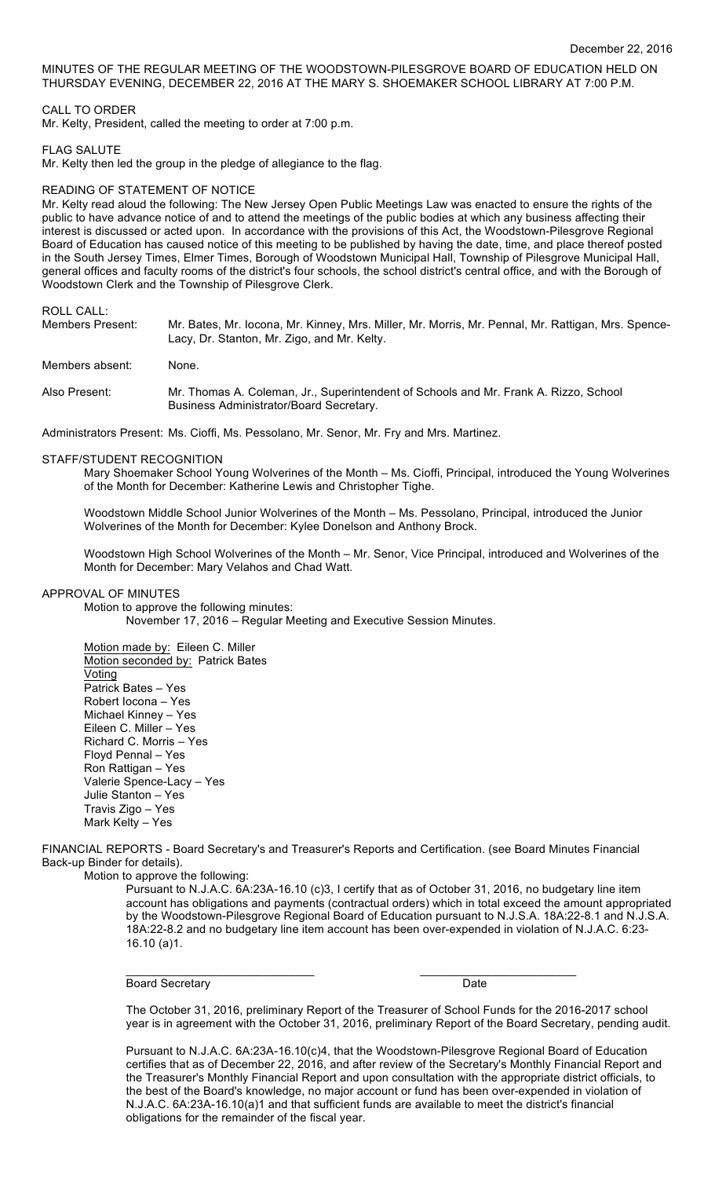MINUTES OF THE REGULAR MEETING OF THE WOODSTOWN-PILESGROVE BOARD OF EDUCATION HELD ON THURSDAY EVENING, DECEMBER 22, 2016 AT THE MARY S. SHOEMAKER SCHOOL LIBRARY AT 7:00 P.M.

### CALL TO ORDER

Mr. Kelty, President, called the meeting to order at 7:00 p.m.

#### FLAG SALUTE

Mr. Kelty then led the group in the pledge of allegiance to the flag.

# READING OF STATEMENT OF NOTICE

Mr. Kelty read aloud the following: The New Jersey Open Public Meetings Law was enacted to ensure the rights of the public to have advance notice of and to attend the meetings of the public bodies at which any business affecting their interest is discussed or acted upon. In accordance with the provisions of this Act, the Woodstown-Pilesgrove Regional Board of Education has caused notice of this meeting to be published by having the date, time, and place thereof posted in the South Jersey Times, Elmer Times, Borough of Woodstown Municipal Hall, Township of Pilesgrove Municipal Hall, general offices and faculty rooms of the district's four schools, the school district's central office, and with the Borough of Woodstown Clerk and the Township of Pilesgrove Clerk.

# ROLL CALL:

| Members Present: | Mr. Bates, Mr. Iocona, Mr. Kinney, Mrs. Miller, Mr. Morris, Mr. Pennal, Mr. Rattigan, Mrs. Spence-<br>Lacy, Dr. Stanton, Mr. Zigo, and Mr. Kelty. |
|------------------|---------------------------------------------------------------------------------------------------------------------------------------------------|
| Members absent:  | None.                                                                                                                                             |
| Also Present:    | Mr. Thomas A. Coleman, Jr., Superintendent of Schools and Mr. Frank A. Rizzo, School<br>Business Administrator/Board Secretary.                   |

Administrators Present: Ms. Cioffi, Ms. Pessolano, Mr. Senor, Mr. Fry and Mrs. Martinez.

#### STAFF/STUDENT RECOGNITION

Mary Shoemaker School Young Wolverines of the Month – Ms. Cioffi, Principal, introduced the Young Wolverines of the Month for December: Katherine Lewis and Christopher Tighe.

Woodstown Middle School Junior Wolverines of the Month – Ms. Pessolano, Principal, introduced the Junior Wolverines of the Month for December: Kylee Donelson and Anthony Brock.

Woodstown High School Wolverines of the Month – Mr. Senor, Vice Principal, introduced and Wolverines of the Month for December: Mary Velahos and Chad Watt.

# APPROVAL OF MINUTES

Motion to approve the following minutes: November 17, 2016 – Regular Meeting and Executive Session Minutes.

Motion made by: Eileen C. Miller Motion seconded by: Patrick Bates Voting Patrick Bates – Yes Robert Iocona – Yes Michael Kinney – Yes Eileen C. Miller – Yes Richard C. Morris – Yes Floyd Pennal – Yes Ron Rattigan – Yes Valerie Spence-Lacy – Yes Julie Stanton – Yes Travis Zigo – Yes Mark Kelty – Yes

FINANCIAL REPORTS - Board Secretary's and Treasurer's Reports and Certification. (see Board Minutes Financial Back-up Binder for details).

Motion to approve the following:

Pursuant to N.J.A.C. 6A:23A-16.10 (c)3, I certify that as of October 31, 2016, no budgetary line item account has obligations and payments (contractual orders) which in total exceed the amount appropriated by the Woodstown-Pilesgrove Regional Board of Education pursuant to N.J.S.A. 18A:22-8.1 and N.J.S.A. 18A:22-8.2 and no budgetary line item account has been over-expended in violation of N.J.A.C. 6:23- 16.10 (a)1.

Board Secretary Date **Date** 

 $\mathcal{L}_\text{max}$  , and the set of the set of the set of the set of the set of the set of the set of the set of the set of the set of the set of the set of the set of the set of the set of the set of the set of the set of the

The October 31, 2016, preliminary Report of the Treasurer of School Funds for the 2016-2017 school year is in agreement with the October 31, 2016, preliminary Report of the Board Secretary, pending audit.

Pursuant to N.J.A.C. 6A:23A-16.10(c)4, that the Woodstown-Pilesgrove Regional Board of Education certifies that as of December 22, 2016, and after review of the Secretary's Monthly Financial Report and the Treasurer's Monthly Financial Report and upon consultation with the appropriate district officials, to the best of the Board's knowledge, no major account or fund has been over-expended in violation of N.J.A.C. 6A:23A-16.10(a)1 and that sufficient funds are available to meet the district's financial obligations for the remainder of the fiscal year.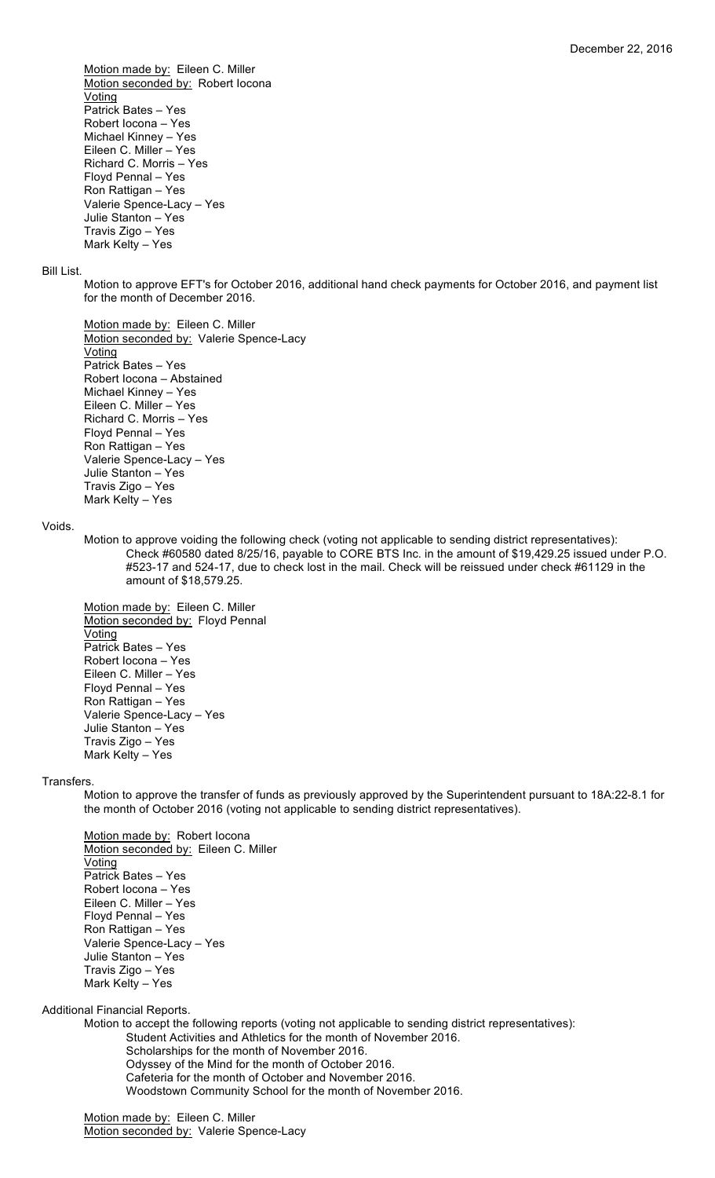Motion made by: Eileen C. Miller Motion seconded by: Robert locona Voting Patrick Bates – Yes Robert Iocona – Yes Michael Kinney – Yes Eileen C. Miller – Yes Richard C. Morris – Yes Floyd Pennal – Yes Ron Rattigan – Yes Valerie Spence-Lacy – Yes Julie Stanton – Yes Travis Zigo – Yes Mark Kelty – Yes

#### Bill List.

Motion to approve EFT's for October 2016, additional hand check payments for October 2016, and payment list for the month of December 2016.

Motion made by: Eileen C. Miller Motion seconded by: Valerie Spence-Lacy Voting Patrick Bates – Yes Robert Iocona – Abstained Michael Kinney – Yes Eileen C. Miller – Yes Richard C. Morris – Yes Floyd Pennal – Yes Ron Rattigan – Yes Valerie Spence-Lacy – Yes Julie Stanton – Yes Travis Zigo – Yes Mark Kelty – Yes

#### Voids.

Motion to approve voiding the following check (voting not applicable to sending district representatives): Check #60580 dated 8/25/16, payable to CORE BTS Inc. in the amount of \$19,429.25 issued under P.O. #523-17 and 524-17, due to check lost in the mail. Check will be reissued under check #61129 in the amount of \$18,579.25.

Motion made by: Eileen C. Miller Motion seconded by: Floyd Pennal Voting Patrick Bates – Yes Robert Iocona – Yes Eileen C. Miller – Yes Floyd Pennal – Yes Ron Rattigan – Yes Valerie Spence-Lacy – Yes Julie Stanton – Yes Travis Zigo – Yes Mark Kelty – Yes

#### Transfers.

Motion to approve the transfer of funds as previously approved by the Superintendent pursuant to 18A:22-8.1 for the month of October 2016 (voting not applicable to sending district representatives).

Motion made by: Robert Iocona Motion seconded by: Eileen C. Miller Voting Patrick Bates – Yes Robert Iocona – Yes Eileen C. Miller – Yes Floyd Pennal – Yes Ron Rattigan – Yes Valerie Spence-Lacy – Yes Julie Stanton – Yes Travis Zigo – Yes Mark Kelty – Yes

Additional Financial Reports.

Motion to accept the following reports (voting not applicable to sending district representatives): Student Activities and Athletics for the month of November 2016. Scholarships for the month of November 2016. Odyssey of the Mind for the month of October 2016. Cafeteria for the month of October and November 2016. Woodstown Community School for the month of November 2016.

Motion made by: Eileen C. Miller Motion seconded by: Valerie Spence-Lacy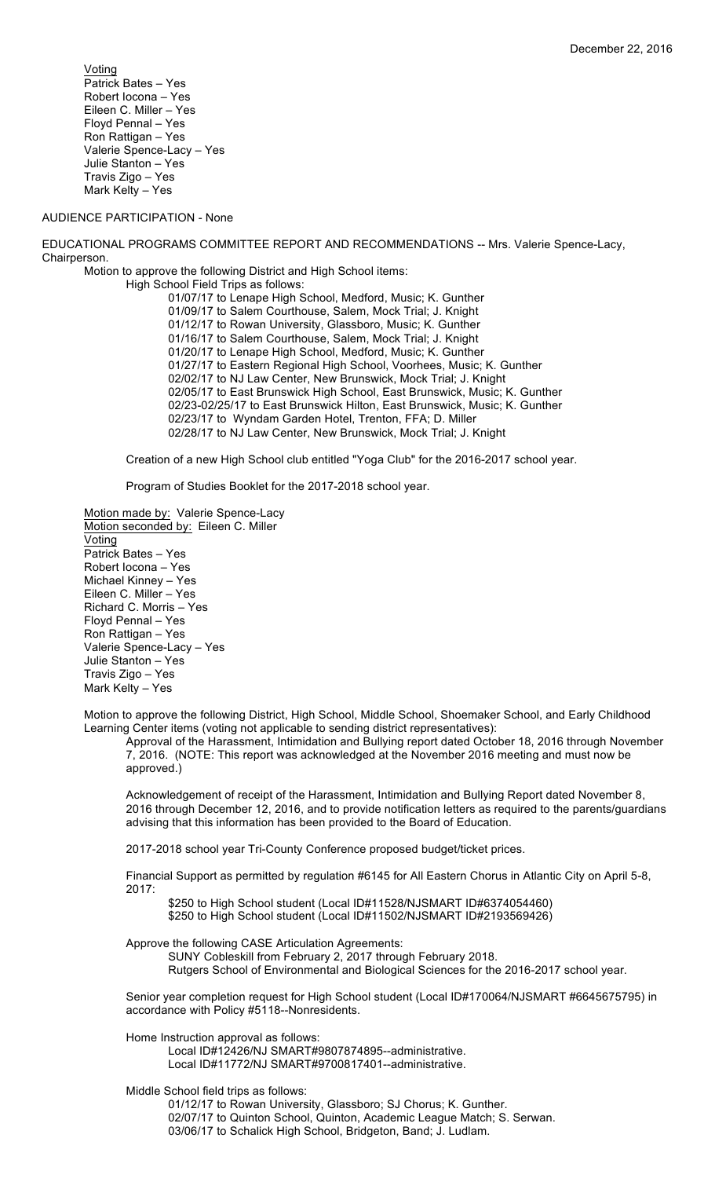Voting Patrick Bates – Yes Robert Iocona – Yes Eileen C. Miller – Yes Floyd Pennal – Yes Ron Rattigan – Yes Valerie Spence-Lacy – Yes Julie Stanton – Yes Travis Zigo – Yes Mark Kelty – Yes

# AUDIENCE PARTICIPATION - None

EDUCATIONAL PROGRAMS COMMITTEE REPORT AND RECOMMENDATIONS -- Mrs. Valerie Spence-Lacy, Chairperson.

Motion to approve the following District and High School items:

High School Field Trips as follows:

01/07/17 to Lenape High School, Medford, Music; K. Gunther 01/09/17 to Salem Courthouse, Salem, Mock Trial; J. Knight 01/12/17 to Rowan University, Glassboro, Music; K. Gunther 01/16/17 to Salem Courthouse, Salem, Mock Trial; J. Knight 01/20/17 to Lenape High School, Medford, Music; K. Gunther 01/27/17 to Eastern Regional High School, Voorhees, Music; K. Gunther 02/02/17 to NJ Law Center, New Brunswick, Mock Trial; J. Knight 02/05/17 to East Brunswick High School, East Brunswick, Music; K. Gunther 02/23-02/25/17 to East Brunswick Hilton, East Brunswick, Music; K. Gunther 02/23/17 to Wyndam Garden Hotel, Trenton, FFA; D. Miller 02/28/17 to NJ Law Center, New Brunswick, Mock Trial; J. Knight

Creation of a new High School club entitled "Yoga Club" for the 2016-2017 school year.

Program of Studies Booklet for the 2017-2018 school year.

Motion made by: Valerie Spence-Lacy Motion seconded by: Eileen C. Miller **Voting** Patrick Bates – Yes Robert Iocona – Yes Michael Kinney – Yes Eileen C. Miller – Yes Richard C. Morris – Yes Floyd Pennal – Yes Ron Rattigan – Yes Valerie Spence-Lacy – Yes Julie Stanton – Yes Travis Zigo – Yes Mark Kelty – Yes

Motion to approve the following District, High School, Middle School, Shoemaker School, and Early Childhood Learning Center items (voting not applicable to sending district representatives):

Approval of the Harassment, Intimidation and Bullying report dated October 18, 2016 through November 7, 2016. (NOTE: This report was acknowledged at the November 2016 meeting and must now be approved.)

Acknowledgement of receipt of the Harassment, Intimidation and Bullying Report dated November 8, 2016 through December 12, 2016, and to provide notification letters as required to the parents/guardians advising that this information has been provided to the Board of Education.

2017-2018 school year Tri-County Conference proposed budget/ticket prices.

Financial Support as permitted by regulation #6145 for All Eastern Chorus in Atlantic City on April 5-8, 2017:

\$250 to High School student (Local ID#11528/NJSMART ID#6374054460) \$250 to High School student (Local ID#11502/NJSMART ID#2193569426)

Approve the following CASE Articulation Agreements:

SUNY Cobleskill from February 2, 2017 through February 2018. Rutgers School of Environmental and Biological Sciences for the 2016-2017 school year.

Senior year completion request for High School student (Local ID#170064/NJSMART #6645675795) in accordance with Policy #5118--Nonresidents.

Home Instruction approval as follows:

Local ID#12426/NJ SMART#9807874895--administrative. Local ID#11772/NJ SMART#9700817401--administrative.

Middle School field trips as follows:

01/12/17 to Rowan University, Glassboro; SJ Chorus; K. Gunther. 02/07/17 to Quinton School, Quinton, Academic League Match; S. Serwan. 03/06/17 to Schalick High School, Bridgeton, Band; J. Ludlam.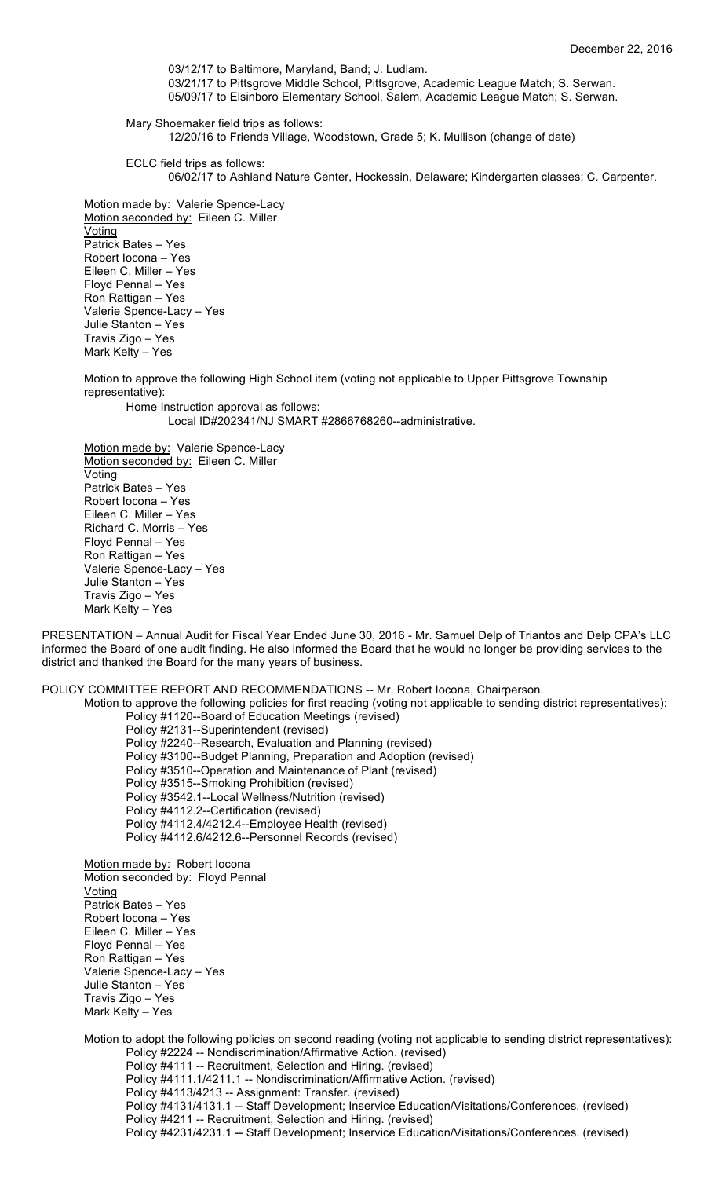03/12/17 to Baltimore, Maryland, Band; J. Ludlam. 03/21/17 to Pittsgrove Middle School, Pittsgrove, Academic League Match; S. Serwan. 05/09/17 to Elsinboro Elementary School, Salem, Academic League Match; S. Serwan.

Mary Shoemaker field trips as follows: 12/20/16 to Friends Village, Woodstown, Grade 5; K. Mullison (change of date)

ECLC field trips as follows:

06/02/17 to Ashland Nature Center, Hockessin, Delaware; Kindergarten classes; C. Carpenter.

Motion made by: Valerie Spence-Lacy Motion seconded by: Eileen C. Miller Voting Patrick Bates – Yes Robert Iocona – Yes Eileen C. Miller – Yes Floyd Pennal – Yes Ron Rattigan – Yes Valerie Spence-Lacy – Yes Julie Stanton – Yes Travis Zigo – Yes Mark Kelty – Yes

Motion to approve the following High School item (voting not applicable to Upper Pittsgrove Township representative):

Home Instruction approval as follows: Local ID#202341/NJ SMART #2866768260--administrative.

Motion made by: Valerie Spence-Lacy Motion seconded by: Eileen C. Miller Voting Patrick Bates – Yes Robert Iocona – Yes Eileen C. Miller – Yes Richard C. Morris – Yes Floyd Pennal – Yes Ron Rattigan – Yes Valerie Spence-Lacy – Yes Julie Stanton – Yes Travis Zigo – Yes Mark Kelty – Yes

PRESENTATION – Annual Audit for Fiscal Year Ended June 30, 2016 - Mr. Samuel Delp of Triantos and Delp CPA's LLC informed the Board of one audit finding. He also informed the Board that he would no longer be providing services to the district and thanked the Board for the many years of business.

POLICY COMMITTEE REPORT AND RECOMMENDATIONS -- Mr. Robert Iocona, Chairperson.

Motion to approve the following policies for first reading (voting not applicable to sending district representatives): Policy #1120--Board of Education Meetings (revised)

Policy #2131--Superintendent (revised) Policy #2240--Research, Evaluation and Planning (revised) Policy #3100--Budget Planning, Preparation and Adoption (revised) Policy #3510--Operation and Maintenance of Plant (revised) Policy #3515--Smoking Prohibition (revised) Policy #3542.1--Local Wellness/Nutrition (revised) Policy #4112.2--Certification (revised) Policy #4112.4/4212.4--Employee Health (revised) Policy #4112.6/4212.6--Personnel Records (revised)

Motion made by: Robert locona Motion seconded by: Floyd Pennal Voting Patrick Bates – Yes Robert Iocona – Yes Eileen C. Miller – Yes Floyd Pennal – Yes Ron Rattigan – Yes Valerie Spence-Lacy – Yes Julie Stanton – Yes Travis Zigo – Yes Mark Kelty – Yes

Motion to adopt the following policies on second reading (voting not applicable to sending district representatives): Policy #2224 -- Nondiscrimination/Affirmative Action. (revised) Policy #4111 -- Recruitment, Selection and Hiring. (revised) Policy #4111.1/4211.1 -- Nondiscrimination/Affirmative Action. (revised) Policy #4113/4213 -- Assignment: Transfer. (revised) Policy #4131/4131.1 -- Staff Development; Inservice Education/Visitations/Conferences. (revised) Policy #4211 -- Recruitment, Selection and Hiring. (revised) Policy #4231/4231.1 -- Staff Development; Inservice Education/Visitations/Conferences. (revised)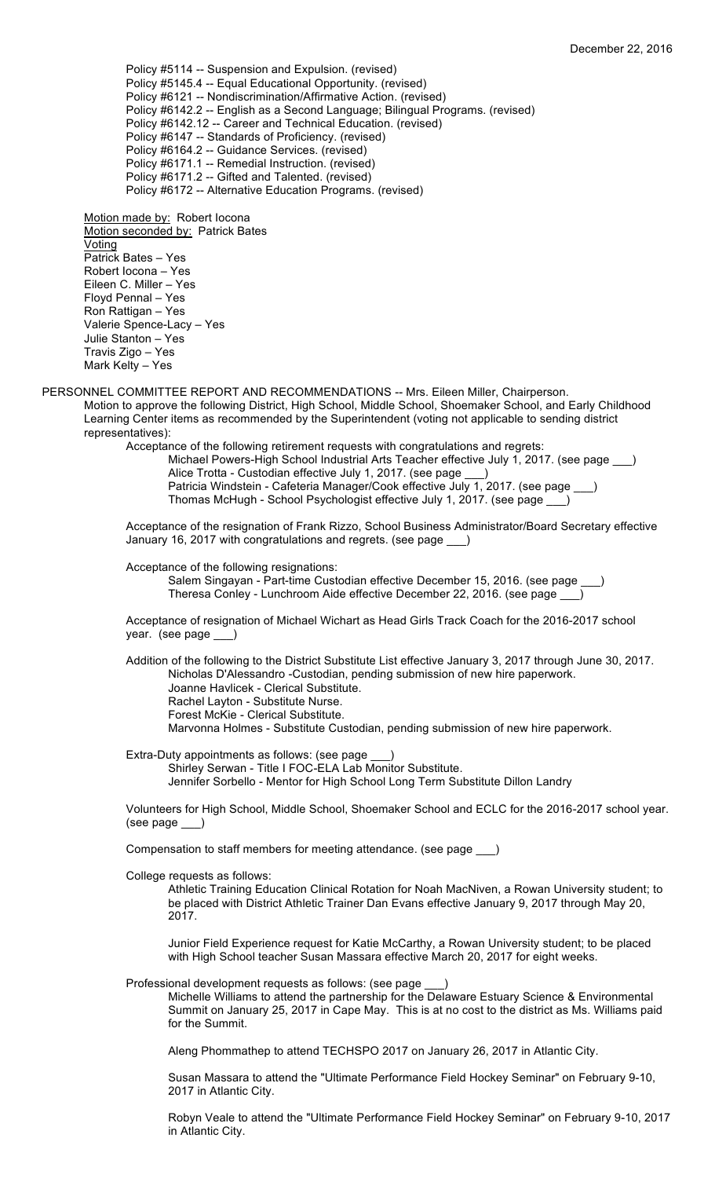Policy #5114 -- Suspension and Expulsion. (revised) Policy #5145.4 -- Equal Educational Opportunity. (revised) Policy #6121 -- Nondiscrimination/Affirmative Action. (revised) Policy #6142.2 -- English as a Second Language; Bilingual Programs. (revised) Policy #6142.12 -- Career and Technical Education. (revised) Policy #6147 -- Standards of Proficiency. (revised) Policy #6164.2 -- Guidance Services. (revised) Policy #6171.1 -- Remedial Instruction. (revised) Policy #6171.2 -- Gifted and Talented. (revised) Policy #6172 -- Alternative Education Programs. (revised)

Motion made by: Robert locona Motion seconded by: Patrick Bates **Voting** Patrick Bates – Yes Robert Iocona – Yes Eileen C. Miller – Yes Floyd Pennal – Yes Ron Rattigan – Yes Valerie Spence-Lacy – Yes Julie Stanton – Yes Travis Zigo – Yes Mark Kelty – Yes

PERSONNEL COMMITTEE REPORT AND RECOMMENDATIONS -- Mrs. Eileen Miller, Chairperson. Motion to approve the following District, High School, Middle School, Shoemaker School, and Early Childhood Learning Center items as recommended by the Superintendent (voting not applicable to sending district representatives):

Acceptance of the following retirement requests with congratulations and regrets: Michael Powers-High School Industrial Arts Teacher effective July 1, 2017. (see page \_\_\_) Alice Trotta - Custodian effective July 1, 2017. (see page \_ Patricia Windstein - Cafeteria Manager/Cook effective July 1, 2017. (see page \_ Thomas McHugh - School Psychologist effective July 1, 2017. (see page \_\_\_)

Acceptance of the resignation of Frank Rizzo, School Business Administrator/Board Secretary effective January 16, 2017 with congratulations and regrets. (see page \_\_\_)

Acceptance of the following resignations:

Salem Singayan - Part-time Custodian effective December 15, 2016. (see page Theresa Conley - Lunchroom Aide effective December 22, 2016. (see page \_\_\_)

Acceptance of resignation of Michael Wichart as Head Girls Track Coach for the 2016-2017 school year. (see page \_\_\_)

Addition of the following to the District Substitute List effective January 3, 2017 through June 30, 2017. Nicholas D'Alessandro -Custodian, pending submission of new hire paperwork. Joanne Havlicek - Clerical Substitute. Rachel Layton - Substitute Nurse. Forest McKie - Clerical Substitute. Marvonna Holmes - Substitute Custodian, pending submission of new hire paperwork.

Extra-Duty appointments as follows: (see page \_\_\_) Shirley Serwan - Title I FOC-ELA Lab Monitor Substitute. Jennifer Sorbello - Mentor for High School Long Term Substitute Dillon Landry

Volunteers for High School, Middle School, Shoemaker School and ECLC for the 2016-2017 school year. (see page \_\_\_)

Compensation to staff members for meeting attendance. (see page \_\_\_)

College requests as follows:

Athletic Training Education Clinical Rotation for Noah MacNiven, a Rowan University student; to be placed with District Athletic Trainer Dan Evans effective January 9, 2017 through May 20, 2017.

Junior Field Experience request for Katie McCarthy, a Rowan University student; to be placed with High School teacher Susan Massara effective March 20, 2017 for eight weeks.

Professional development requests as follows: (see page \_\_\_)

Michelle Williams to attend the partnership for the Delaware Estuary Science & Environmental Summit on January 25, 2017 in Cape May. This is at no cost to the district as Ms. Williams paid for the Summit.

Aleng Phommathep to attend TECHSPO 2017 on January 26, 2017 in Atlantic City.

Susan Massara to attend the "Ultimate Performance Field Hockey Seminar" on February 9-10, 2017 in Atlantic City.

Robyn Veale to attend the "Ultimate Performance Field Hockey Seminar" on February 9-10, 2017 in Atlantic City.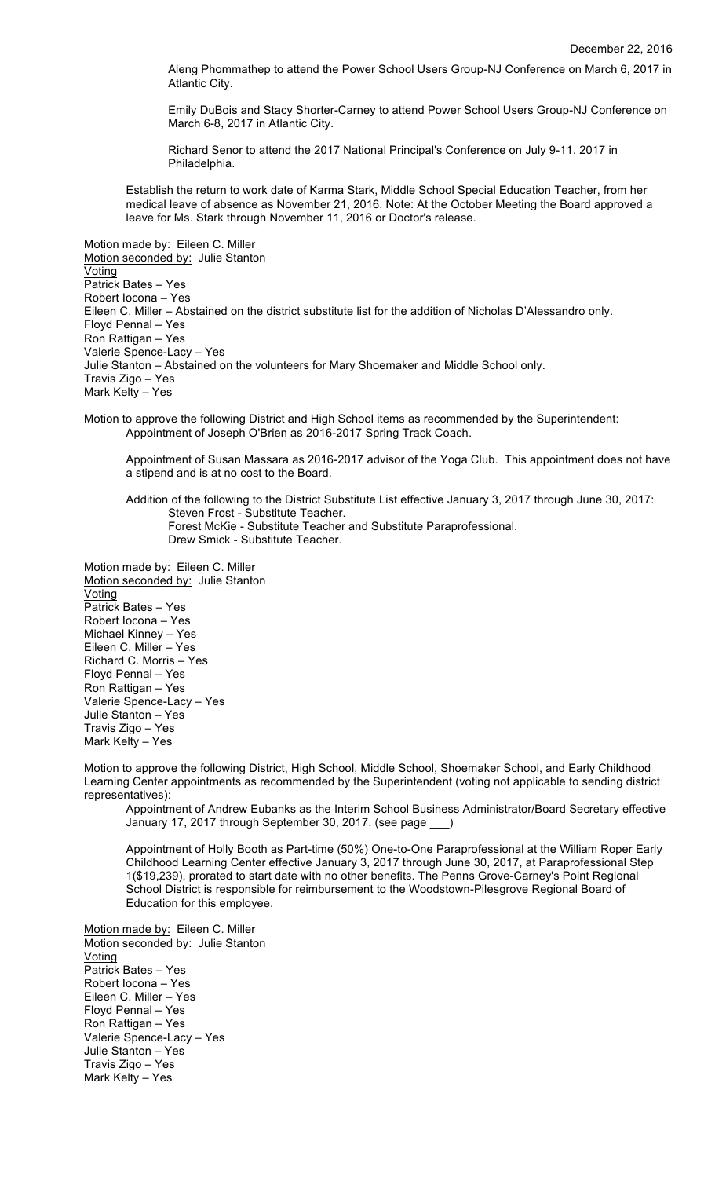Aleng Phommathep to attend the Power School Users Group-NJ Conference on March 6, 2017 in Atlantic City.

Emily DuBois and Stacy Shorter-Carney to attend Power School Users Group-NJ Conference on March 6-8, 2017 in Atlantic City.

Richard Senor to attend the 2017 National Principal's Conference on July 9-11, 2017 in Philadelphia.

Establish the return to work date of Karma Stark, Middle School Special Education Teacher, from her medical leave of absence as November 21, 2016. Note: At the October Meeting the Board approved a leave for Ms. Stark through November 11, 2016 or Doctor's release.

Motion made by: Eileen C. Miller Motion seconded by: Julie Stanton Voting Patrick Bates – Yes Robert Iocona – Yes Eileen C. Miller – Abstained on the district substitute list for the addition of Nicholas D'Alessandro only. Floyd Pennal – Yes Ron Rattigan – Yes Valerie Spence-Lacy – Yes Julie Stanton – Abstained on the volunteers for Mary Shoemaker and Middle School only. Travis Zigo – Yes Mark Kelty – Yes

Motion to approve the following District and High School items as recommended by the Superintendent: Appointment of Joseph O'Brien as 2016-2017 Spring Track Coach.

Appointment of Susan Massara as 2016-2017 advisor of the Yoga Club. This appointment does not have a stipend and is at no cost to the Board.

Addition of the following to the District Substitute List effective January 3, 2017 through June 30, 2017: Steven Frost - Substitute Teacher. Forest McKie - Substitute Teacher and Substitute Paraprofessional. Drew Smick - Substitute Teacher.

Motion made by: Eileen C. Miller Motion seconded by: Julie Stanton **Voting** Patrick Bates – Yes Robert Iocona – Yes Michael Kinney – Yes Eileen C. Miller – Yes Richard C. Morris – Yes Floyd Pennal – Yes Ron Rattigan – Yes Valerie Spence-Lacy – Yes Julie Stanton – Yes Travis Zigo – Yes Mark Kelty – Yes

Motion to approve the following District, High School, Middle School, Shoemaker School, and Early Childhood Learning Center appointments as recommended by the Superintendent (voting not applicable to sending district representatives):

Appointment of Andrew Eubanks as the Interim School Business Administrator/Board Secretary effective January 17, 2017 through September 30, 2017. (see page \_\_\_)

Appointment of Holly Booth as Part-time (50%) One-to-One Paraprofessional at the William Roper Early Childhood Learning Center effective January 3, 2017 through June 30, 2017, at Paraprofessional Step 1(\$19,239), prorated to start date with no other benefits. The Penns Grove-Carney's Point Regional School District is responsible for reimbursement to the Woodstown-Pilesgrove Regional Board of Education for this employee.

Motion made by: Eileen C. Miller Motion seconded by: Julie Stanton Voting Patrick Bates – Yes Robert Iocona – Yes Eileen C. Miller – Yes Floyd Pennal – Yes Ron Rattigan – Yes Valerie Spence-Lacy – Yes Julie Stanton – Yes Travis Zigo – Yes Mark Kelty – Yes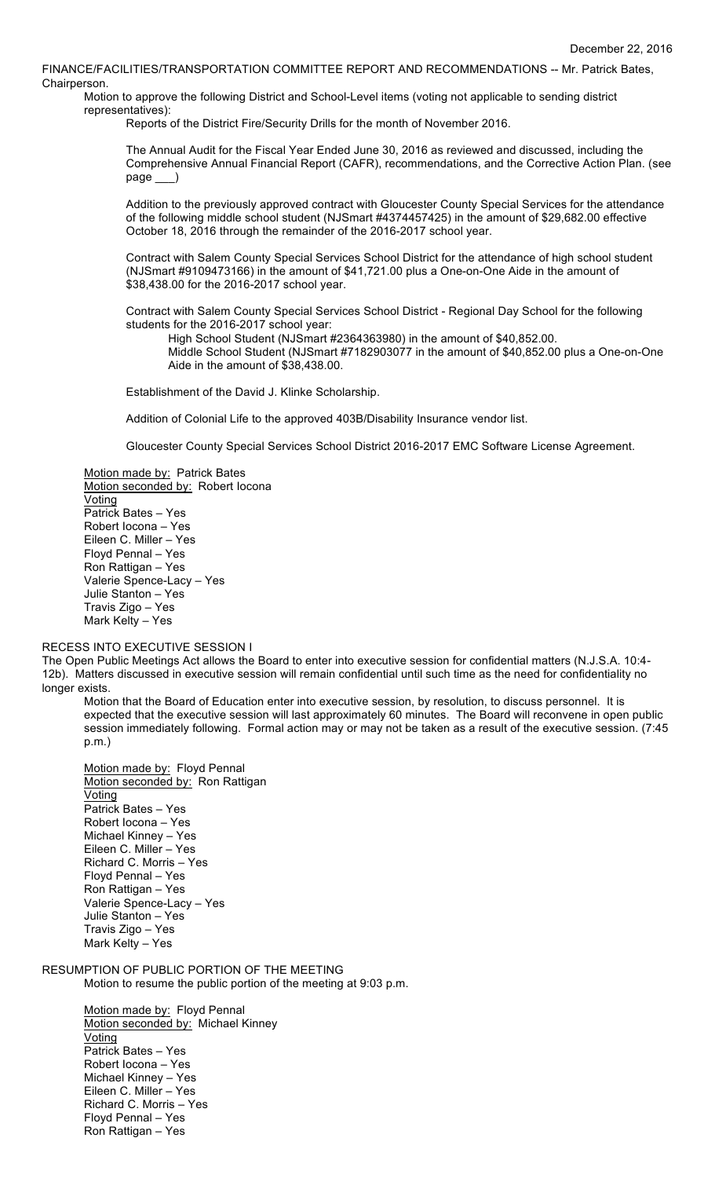FINANCE/FACILITIES/TRANSPORTATION COMMITTEE REPORT AND RECOMMENDATIONS -- Mr. Patrick Bates, Chairperson.

Motion to approve the following District and School-Level items (voting not applicable to sending district representatives):

Reports of the District Fire/Security Drills for the month of November 2016.

The Annual Audit for the Fiscal Year Ended June 30, 2016 as reviewed and discussed, including the Comprehensive Annual Financial Report (CAFR), recommendations, and the Corrective Action Plan. (see page \_\_\_ )

Addition to the previously approved contract with Gloucester County Special Services for the attendance of the following middle school student (NJSmart #4374457425) in the amount of \$29,682.00 effective October 18, 2016 through the remainder of the 2016-2017 school year.

Contract with Salem County Special Services School District for the attendance of high school student (NJSmart #9109473166) in the amount of \$41,721.00 plus a One-on-One Aide in the amount of \$38,438.00 for the 2016-2017 school year.

Contract with Salem County Special Services School District - Regional Day School for the following students for the 2016-2017 school year:

High School Student (NJSmart #2364363980) in the amount of \$40,852.00.

Middle School Student (NJSmart #7182903077 in the amount of \$40,852.00 plus a One-on-One Aide in the amount of \$38,438.00.

Establishment of the David J. Klinke Scholarship.

Addition of Colonial Life to the approved 403B/Disability Insurance vendor list.

Gloucester County Special Services School District 2016-2017 EMC Software License Agreement.

Motion made by: Patrick Bates Motion seconded by: Robert locona Voting Patrick Bates – Yes Robert Iocona – Yes Eileen C. Miller – Yes Floyd Pennal – Yes Ron Rattigan – Yes Valerie Spence-Lacy – Yes Julie Stanton – Yes Travis Zigo – Yes Mark Kelty – Yes

### RECESS INTO EXECUTIVE SESSION I

The Open Public Meetings Act allows the Board to enter into executive session for confidential matters (N.J.S.A. 10:4- 12b). Matters discussed in executive session will remain confidential until such time as the need for confidentiality no longer exists.

Motion that the Board of Education enter into executive session, by resolution, to discuss personnel. It is expected that the executive session will last approximately 60 minutes. The Board will reconvene in open public session immediately following. Formal action may or may not be taken as a result of the executive session. (7:45 p.m.)

Motion made by: Floyd Pennal Motion seconded by: Ron Rattigan Voting Patrick Bates – Yes Robert Iocona – Yes Michael Kinney – Yes Eileen C. Miller – Yes Richard C. Morris – Yes Floyd Pennal – Yes Ron Rattigan – Yes Valerie Spence-Lacy – Yes Julie Stanton – Yes Travis Zigo – Yes Mark Kelty – Yes

RESUMPTION OF PUBLIC PORTION OF THE MEETING

Motion to resume the public portion of the meeting at 9:03 p.m.

Motion made by: Floyd Pennal Motion seconded by: Michael Kinney **Voting** Patrick Bates – Yes Robert Iocona – Yes Michael Kinney – Yes Eileen C. Miller – Yes Richard C. Morris – Yes Floyd Pennal – Yes Ron Rattigan – Yes